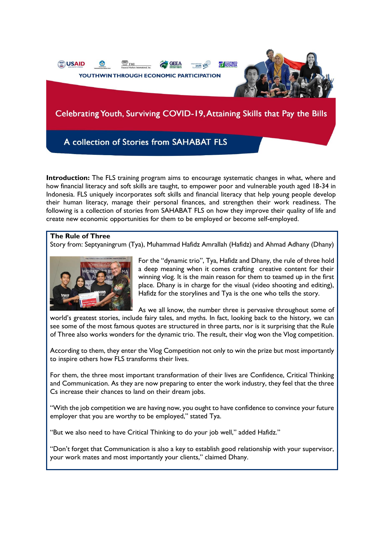

A collection of Stories from SAHABAT FLS

**Introduction:** The FLS training program aims to encourage systematic changes in what, where and how financial literacy and soft skills are taught, to empower poor and vulnerable youth aged 18-34 in Indonesia. FLS uniquely incorporates soft skills and financial literacy that help young people develop their human literacy, manage their personal finances, and strengthen their work readiness. The following is a collection of stories from SAHABAT FLS on how they improve their quality of life and create new economic opportunities for them to be employed or become self-employed.

## **The Rule of Three**

Story from: Septyaningrum (Tya), Muhammad Hafidz Amrallah (Hafidz) and Ahmad Adhany (Dhany)



For the "dynamic trio", Tya, Hafidz and Dhany, the rule of three hold a deep meaning when it comes crafting creative content for their winning vlog. It is the main reason for them to teamed up in the first place. Dhany is in charge for the visual (video shooting and editing), Hafidz for the storylines and Tya is the one who tells the story.

As we all know, the number three is pervasive throughout some of world's greatest stories, include fairy tales, and myths. In fact, looking back to the history, we can see some of the most famous quotes are structured in three parts, nor is it surprising that the Rule of Three also works wonders for the dynamic trio. The result, their vlog won the Vlog competition.

According to them, they enter the Vlog Competition not only to win the prize but most importantly to inspire others how FLS transforms their lives.

For them, the three most important transformation of their lives are Confidence, Critical Thinking and Communication. As they are now preparing to enter the work industry, they feel that the three Cs increase their chances to land on their dream jobs.

"With the job competition we are having now, you ought to have confidence to convince your future employer that you are worthy to be employed," stated Tya.

"But we also need to have Critical Thinking to do your job well," added Hafidz."

"Don't forget that Communication is also a key to establish good relationship with your supervisor, your work mates and most importantly your clients," claimed Dhany.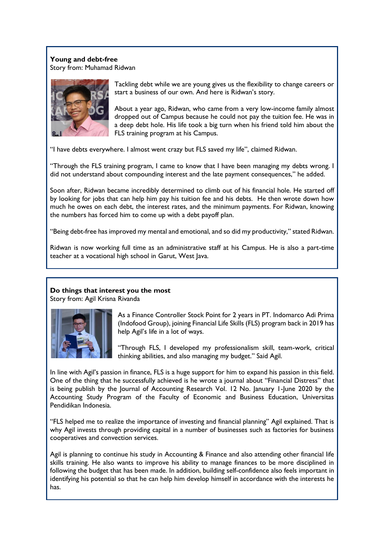**Young and debt-free** Story from: Muhamad Ridwan



Tackling debt while we are young gives us the flexibility to change careers or start a business of our own. And here is Ridwan's story.

About a year ago, Ridwan, who came from a very low-income family almost dropped out of Campus because he could not pay the tuition fee. He was in a deep debt hole. His life took a big turn when his friend told him about the FLS training program at his Campus.

"I have debts everywhere. I almost went crazy but FLS saved my life", claimed Ridwan.

"Through the FLS training program, I came to know that I have been managing my debts wrong. I did not understand about compounding interest and the late payment consequences," he added.

Soon after, Ridwan became incredibly determined to climb out of his financial hole. He started off by looking for jobs that can help him pay his tuition fee and his debts. He then wrote down how much he owes on each debt, the interest rates, and the minimum payments. For Ridwan, knowing the numbers has forced him to come up with a debt payoff plan.

"Being debt-free has improved my mental and emotional, and so did my productivity," stated Ridwan.

Ridwan is now working full time as an administrative staff at his Campus. He is also a part-time teacher at a vocational high school in Garut, West Java.

# **Do things that interest you the most**

Story from: Agil Krisna Rivanda



As a Finance Controller Stock Point for 2 years in PT. Indomarco Adi Prima (Indofood Group), joining Financial Life Skills (FLS) program back in 2019 has help Agil's life in a lot of ways.

"Through FLS, I developed my professionalism skill, team-work, critical thinking abilities, and also managing my budget." Said Agil.

In line with Agil's passion in finance, FLS is a huge support for him to expand his passion in this field. One of the thing that he successfully achieved is he wrote a journal about "Financial Distress" that is being publish by the Journal of Accounting Research Vol. 12 No. January 1-June 2020 by the Accounting Study Program of the Faculty of Economic and Business Education, Universitas Pendidikan Indonesia.

"FLS helped me to realize the importance of investing and financial planning" Agil explained. That is why Agil invests through providing capital in a number of businesses such as factories for business cooperatives and convection services.

Agil is planning to continue his study in Accounting & Finance and also attending other financial life skills training. He also wants to improve his ability to manage finances to be more disciplined in following the budget that has been made. In addition, building self-confidence also feels important in identifying his potential so that he can help him develop himself in accordance with the interests he has.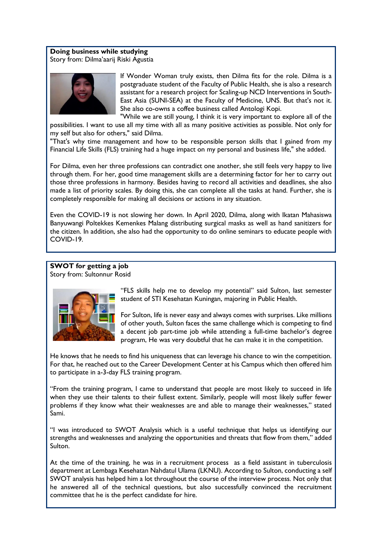### **Doing business while studying**

Story from: Dilma'aarij Riski Agustia



If Wonder Woman truly exists, then Dilma fits for the role. Dilma is a postgraduate student of the Faculty of Public Health, she is also a research assistant for a research project for Scaling-up NCD Interventions in South-East Asia (SUNI-SEA) at the Faculty of Medicine, UNS. But that's not it. She also co-owns a coffee business called Antologi Kopi.

"While we are still young, I think it is very important to explore all of the possibilities. I want to use all my time with all as many positive activities as possible. Not only for my self but also for others," said Dilma.

"That's why time management and how to be responsible person skills that I gained from my Financial Life Skills (FLS) training had a huge impact on my personal and business life," she added.

For Dilma, even her three professions can contradict one another, she still feels very happy to live through them. For her, good time management skills are a determining factor for her to carry out those three professions in harmony. Besides having to record all activities and deadlines, she also made a list of priority scales. By doing this, she can complete all the tasks at hand. Further, she is completely responsible for making all decisions or actions in any situation.

Even the COVID-19 is not slowing her down. In April 2020, Dilma, along with Ikatan Mahasiswa Banyuwangi Poltekkes Kemenkes Malang distributing surgical masks as well as hand sanitizers for the citizen. In addition, she also had the opportunity to do online seminars to educate people with COVID-19.

# **SWOT for getting a job**

Story from: Sultonnur Rosid



"FLS skills help me to develop my potential" said Sulton, last semester student of STI Kesehatan Kuningan, majoring in Public Health.

For Sulton, life is never easy and always comes with surprises. Like millions of other youth, Sulton faces the same challenge which is competing to find a decent job part-time job while attending a full-time bachelor's degree program, He was very doubtful that he can make it in the competition.

He knows that he needs to find his uniqueness that can leverage his chance to win the competition. For that, he reached out to the Career Development Center at his Campus which then offered him to participate in a-3-day FLS training program.

"From the training program, I came to understand that people are most likely to succeed in life when they use their talents to their fullest extent. Similarly, people will most likely suffer fewer problems if they know what their weaknesses are and able to manage their weaknesses," stated Sami.

"I was introduced to SWOT Analysis which is a useful technique that helps us identifying our strengths and weaknesses and analyzing the opportunities and threats that flow from them," added Sulton.

At the time of the training, he was in a recruitment process as a field assistant in tuberculosis department at Lembaga Kesehatan Nahdatul Ulama (LKNU). According to Sulton, conducting a self SWOT analysis has helped him a lot throughout the course of the interview process. Not only that he answered all of the technical questions, but also successfully convinced the recruitment committee that he is the perfect candidate for hire.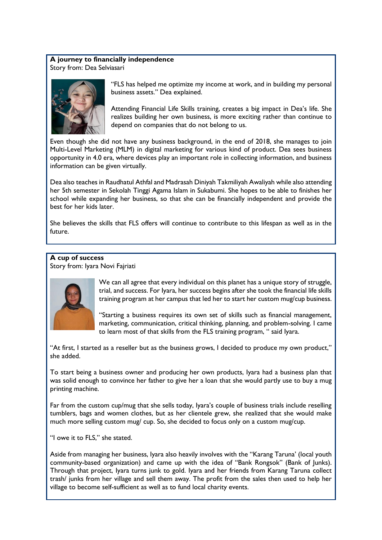#### **A journey to financially independence** Story from: Dea Selviasari



"FLS has helped me optimize my income at work, and in building my personal business assets." Dea explained.

Attending Financial Life Skills training, creates a big impact in Dea's life. She realizes building her own business, is more exciting rather than continue to depend on companies that do not belong to us.

Even though she did not have any business background, in the end of 2018, she manages to join Multi-Level Marketing (MLM) in digital marketing for various kind of product. Dea sees business opportunity in 4.0 era, where devices play an important role in collecting information, and business information can be given virtually.

Dea also teaches in Raudhatul Athfal and Madrasah Diniyah Takmiliyah Awaliyah while also attending her 5th semester in Sekolah Tinggi Agama Islam in Sukabumi. She hopes to be able to finishes her school while expanding her business, so that she can be financially independent and provide the best for her kids later.

She believes the skills that FLS offers will continue to contribute to this lifespan as well as in the future.

# **A cup of success**

Story from: Iyara Novi Fajriati



We can all agree that every individual on this planet has a unique story of struggle, trial, and success. For Iyara, her success begins after she took the financial life skills training program at her campus that led her to start her custom mug/cup business.

"Starting a business requires its own set of skills such as financial management, marketing, communication, critical thinking, planning, and problem-solving. I came to learn most of that skills from the FLS training program, " said Iyara.

"At first, I started as a reseller but as the business grows, I decided to produce my own product," she added.

To start being a business owner and producing her own products, Iyara had a business plan that was solid enough to convince her father to give her a loan that she would partly use to buy a mug printing machine.

Far from the custom cup/mug that she sells today, Iyara's couple of business trials include reselling tumblers, bags and women clothes, but as her clientele grew, she realized that she would make much more selling custom mug/ cup. So, she decided to focus only on a custom mug/cup.

"I owe it to FLS," she stated.

Aside from managing her business, Iyara also heavily involves with the "Karang Taruna' (local youth community-based organization) and came up with the idea of "Bank Rongsok" (Bank of Junks). Through that project, Iyara turns junk to gold. Iyara and her friends from Karang Taruna collect trash/ junks from her village and sell them away. The profit from the sales then used to help her village to become self-sufficient as well as to fund local charity events.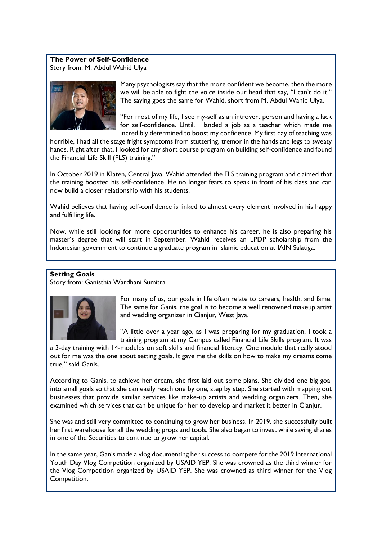#### **The Power of Self-Confidence** Story from: M. Abdul Wahid Ulya



Many psychologists say that the more confident we become, then the more we will be able to fight the voice inside our head that say, "I can't do it." The saying goes the same for Wahid, short from M. Abdul Wahid Ulya.

"For most of my life, I see my-self as an introvert person and having a lack for self-confidence. Until, I landed a job as a teacher which made me incredibly determined to boost my confidence. My first day of teaching was

horrible, I had all the stage fright symptoms from stuttering, tremor in the hands and legs to sweaty hands. Right after that, I looked for any short course program on building self-confidence and found the Financial Life Skill (FLS) training."

In October 2019 in Klaten, Central Java, Wahid attended the FLS training program and claimed that the training boosted his self-confidence. He no longer fears to speak in front of his class and can now build a closer relationship with his students.

Wahid believes that having self-confidence is linked to almost every element involved in his happy and fulfilling life.

Now, while still looking for more opportunities to enhance his career, he is also preparing his master's degree that will start in September. Wahid receives an LPDP scholarship from the Indonesian government to continue a graduate program in Islamic education at IAIN Salatiga.

# **Setting Goals**

Story from: Ganisthia Wardhani Sumitra



For many of us, our goals in life often relate to careers, health, and fame. The same for Ganis, the goal is to become a well renowned makeup artist and wedding organizer in Cianjur, West Java.

"A little over a year ago, as I was preparing for my graduation, I took a training program at my Campus called Financial Life Skills program. It was

a 3-day training with 14-modules on soft skills and financial literacy. One module that really stood out for me was the one about setting goals. It gave me the skills on how to make my dreams come true," said Ganis.

According to Ganis, to achieve her dream, she first laid out some plans. She divided one big goal into small goals so that she can easily reach one by one, step by step. She started with mapping out businesses that provide similar services like make-up artists and wedding organizers. Then, she examined which services that can be unique for her to develop and market it better in Cianjur.

She was and still very committed to continuing to grow her business. In 2019, she successfully built her first warehouse for all the wedding props and tools. She also began to invest while saving shares in one of the Securities to continue to grow her capital.

In the same year, Ganis made a vlog documenting her success to compete for the 2019 International Youth Day Vlog Competition organized by USAID YEP. She was crowned as the third winner for the Vlog Competition organized by USAID YEP. She was crowned as third winner for the Vlog Competition.